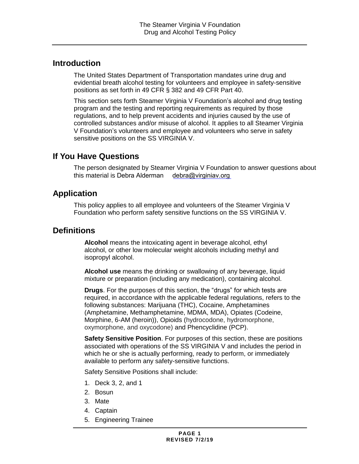## **Introduction**

The United States Department of Transportation mandates urine drug and evidential breath alcohol testing for volunteers and employee in safety-sensitive positions as set forth in 49 CFR § 382 and 49 CFR Part 40.

This section sets forth Steamer Virginia V Foundation's alcohol and drug testing program and the testing and reporting requirements as required by those regulations, and to help prevent accidents and injuries caused by the use of controlled substances and/or misuse of alcohol. It applies to all Steamer Virginia V Foundation's volunteers and employee and volunteers who serve in safety sensitive positions on the SS VIRGINIA V.

## **If You Have Questions**

The person designated by Steamer Virginia V Foundation to answer questions about this material is Debra Alderman [debra@virginiav.org](mailto:debra@virginiav.org)

## **Application**

This policy applies to all employee and volunteers of the Steamer Virginia V Foundation who perform safety sensitive functions on the SS VIRGINIA V.

## **Definitions**

**Alcohol** means the intoxicating agent in beverage alcohol, ethyl alcohol, or other low molecular weight alcohols including methyl and isopropyl alcohol.

**Alcohol use** means the drinking or swallowing of any beverage, liquid mixture or preparation (including any medication), containing alcohol.

**Drugs**. For the purposes of this section, the "drugs" for which tests are required, in accordance with the applicable federal regulations, refers to the following substances: Marijuana (THC), Cocaine, Amphetamines (Amphetamine, Methamphetamine, MDMA, MDA), Opiates (Codeine, Morphine, 6-AM (heroin)), Opioids (hydrocodone, hydromorphone, oxymorphone, and oxycodone) and Phencyclidine (PCP).

**Safety Sensitive Position**. For purposes of this section, these are positions associated with operations of the SS VIRGINIA V and includes the period in which he or she is actually performing, ready to perform, or immediately available to perform any safety-sensitive functions.

Safety Sensitive Positions shall include:

- 1. Deck 3, 2, and 1
- 2. Bosun
- 3. Mate
- 4. Captain
- 5. Engineering Trainee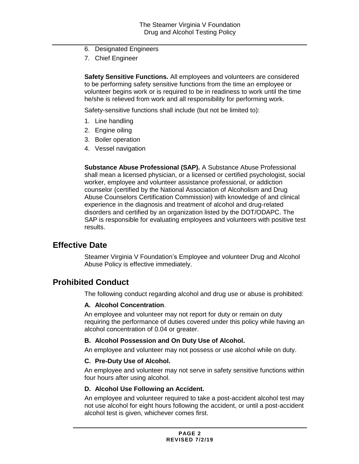- 6. Designated Engineers
- 7. Chief Engineer

**Safety Sensitive Functions.** All employees and volunteers are considered to be performing safety sensitive functions from the time an employee or volunteer begins work or is required to be in readiness to work until the time he/she is relieved from work and all responsibility for performing work.

Safety-sensitive functions shall include (but not be limited to):

- 1. Line handling
- 2. Engine oiling
- 3. Boiler operation
- 4. Vessel navigation

**Substance Abuse Professional (SAP).** A Substance Abuse Professional shall mean a licensed physician, or a licensed or certified psychologist, social worker, employee and volunteer assistance professional, or addiction counselor (certified by the National Association of Alcoholism and Drug Abuse Counselors Certification Commission) with knowledge of and clinical experience in the diagnosis and treatment of alcohol and drug-related disorders and certified by an organization listed by the DOT/ODAPC. The SAP is responsible for evaluating employees and volunteers with positive test results.

## **Effective Date**

Steamer Virginia V Foundation's Employee and volunteer Drug and Alcohol Abuse Policy is effective immediately.

## **Prohibited Conduct**

The following conduct regarding alcohol and drug use or abuse is prohibited:

#### **A. Alcohol Concentration**.

An employee and volunteer may not report for duty or remain on duty requiring the performance of duties covered under this policy while having an alcohol concentration of 0.04 or greater.

#### **B. Alcohol Possession and On Duty Use of Alcohol.**

An employee and volunteer may not possess or use alcohol while on duty.

#### **C. Pre-Duty Use of Alcohol.**

An employee and volunteer may not serve in safety sensitive functions within four hours after using alcohol.

#### **D. Alcohol Use Following an Accident.**

An employee and volunteer required to take a post-accident alcohol test may not use alcohol for eight hours following the accident, or until a post-accident alcohol test is given, whichever comes first.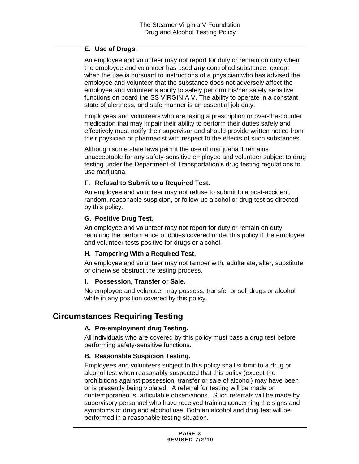### **E. Use of Drugs.**

An employee and volunteer may not report for duty or remain on duty when the employee and volunteer has used *any* controlled substance, except when the use is pursuant to instructions of a physician who has advised the employee and volunteer that the substance does not adversely affect the employee and volunteer's ability to safely perform his/her safety sensitive functions on board the SS VIRGINIA V. The ability to operate in a constant state of alertness, and safe manner is an essential job duty.

Employees and volunteers who are taking a prescription or over-the-counter medication that may impair their ability to perform their duties safely and effectively must notify their supervisor and should provide written notice from their physician or pharmacist with respect to the effects of such substances.

Although some state laws permit the use of marijuana it remains unacceptable for any safety‐sensitive employee and volunteer subject to drug testing under the Department of Transportation's drug testing regulations to use marijuana.

### **F. Refusal to Submit to a Required Test.**

An employee and volunteer may not refuse to submit to a post-accident, random, reasonable suspicion, or follow-up alcohol or drug test as directed by this policy.

### **G. Positive Drug Test.**

An employee and volunteer may not report for duty or remain on duty requiring the performance of duties covered under this policy if the employee and volunteer tests positive for drugs or alcohol.

## **H. Tampering With a Required Test.**

An employee and volunteer may not tamper with, adulterate, alter, substitute or otherwise obstruct the testing process.

#### **I. Possession, Transfer or Sale.**

No employee and volunteer may possess, transfer or sell drugs or alcohol while in any position covered by this policy.

## **Circumstances Requiring Testing**

## **A. Pre-employment drug Testing.**

All individuals who are covered by this policy must pass a drug test before performing safety-sensitive functions.

## **B. Reasonable Suspicion Testing.**

Employees and volunteers subject to this policy shall submit to a drug or alcohol test when reasonably suspected that this policy (except the prohibitions against possession, transfer or sale of alcohol) may have been or is presently being violated. A referral for testing will be made on contemporaneous, articulable observations. Such referrals will be made by supervisory personnel who have received training concerning the signs and symptoms of drug and alcohol use. Both an alcohol and drug test will be performed in a reasonable testing situation.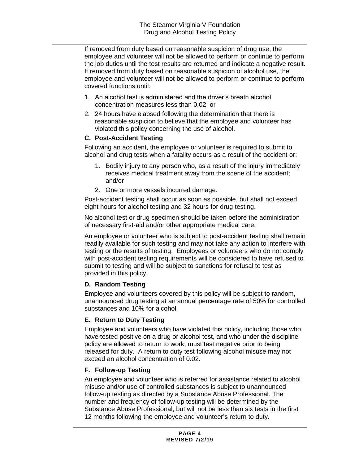If removed from duty based on reasonable suspicion of drug use, the employee and volunteer will not be allowed to perform or continue to perform the job duties until the test results are returned and indicate a negative result. If removed from duty based on reasonable suspicion of alcohol use, the employee and volunteer will not be allowed to perform or continue to perform covered functions until:

- 1. An alcohol test is administered and the driver's breath alcohol concentration measures less than 0.02; or
- 2. 24 hours have elapsed following the determination that there is reasonable suspicion to believe that the employee and volunteer has violated this policy concerning the use of alcohol.

## **C. Post-Accident Testing**

Following an accident, the employee or volunteer is required to submit to alcohol and drug tests when a fatality occurs as a result of the accident or:

- 1. Bodily injury to any person who, as a result of the injury immediately receives medical treatment away from the scene of the accident; and/or
- 2. One or more vessels incurred damage.

Post-accident testing shall occur as soon as possible, but shall not exceed eight hours for alcohol testing and 32 hours for drug testing.

No alcohol test or drug specimen should be taken before the administration of necessary first-aid and/or other appropriate medical care.

An employee or volunteer who is subject to post-accident testing shall remain readily available for such testing and may not take any action to interfere with testing or the results of testing. Employees or volunteers who do not comply with post-accident testing requirements will be considered to have refused to submit to testing and will be subject to sanctions for refusal to test as provided in this policy.

## **D. Random Testing**

Employee and volunteers covered by this policy will be subject to random, unannounced drug testing at an annual percentage rate of 50% for controlled substances and 10% for alcohol.

## **E. Return to Duty Testing**

Employee and volunteers who have violated this policy, including those who have tested positive on a drug or alcohol test, and who under the discipline policy are allowed to return to work, must test negative prior to being released for duty. A return to duty test following alcohol misuse may not exceed an alcohol concentration of 0.02.

## **F. Follow-up Testing**

An employee and volunteer who is referred for assistance related to alcohol misuse and/or use of controlled substances is subject to unannounced follow-up testing as directed by a Substance Abuse Professional. The number and frequency of follow-up testing will be determined by the Substance Abuse Professional, but will not be less than six tests in the first 12 months following the employee and volunteer's return to duty.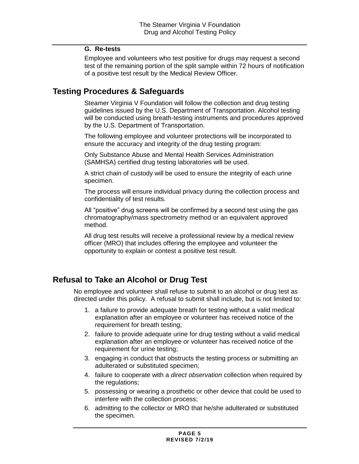### **G. Re-tests**

Employee and volunteers who test positive for drugs may request a second test of the remaining portion of the split sample within 72 hours of notification of a positive test result by the Medical Review Officer.

## **Testing Procedures & Safeguards**

Steamer Virginia V Foundation will follow the collection and drug testing guidelines issued by the U.S. Department of Transportation. Alcohol testing will be conducted using breath-testing instruments and procedures approved by the U.S. Department of Transportation.

The following employee and volunteer protections will be incorporated to ensure the accuracy and integrity of the drug testing program:

Only Substance Abuse and Mental Health Services Administration (SAMHSA) certified drug testing laboratories will be used.

A strict chain of custody will be used to ensure the integrity of each urine specimen.

The process will ensure individual privacy during the collection process and confidentiality of test results.

All "positive" drug screens will be confirmed by a second test using the gas chromatography/mass spectrometry method or an equivalent approved method.

All drug test results will receive a professional review by a medical review officer (MRO) that includes offering the employee and volunteer the opportunity to explain or contest a positive test result.

## **Refusal to Take an Alcohol or Drug Test**

No employee and volunteer shall refuse to submit to an alcohol or drug test as directed under this policy. A refusal to submit shall include, but is not limited to:

- 1. a failure to provide adequate breath for testing without a valid medical explanation after an employee or volunteer has received notice of the requirement for breath testing;
- 2. failure to provide adequate urine for drug testing without a valid medical explanation after an employee or volunteer has received notice of the requirement for urine testing;
- 3. engaging in conduct that obstructs the testing process or submitting an adulterated or substituted specimen;
- 4. failure to cooperate with a *direct observation* collection when required by the regulations;
- 5. possessing or wearing a prosthetic or other device that could be used to interfere with the collection process;
- 6. admitting to the collector or MRO that he/she adulterated or substituted the specimen.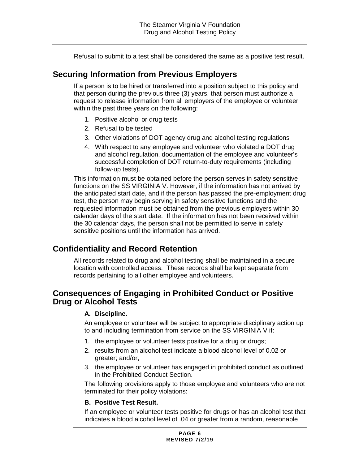Refusal to submit to a test shall be considered the same as a positive test result.

## **Securing Information from Previous Employers**

If a person is to be hired or transferred into a position subject to this policy and that person during the previous three (3) years, that person must authorize a request to release information from all employers of the employee or volunteer within the past three years on the following:

- 1. Positive alcohol or drug tests
- 2. Refusal to be tested
- 3. Other violations of DOT agency drug and alcohol testing regulations
- 4. With respect to any employee and volunteer who violated a DOT drug and alcohol regulation, documentation of the employee and volunteer's successful completion of DOT return-to-duty requirements (including follow-up tests).

This information must be obtained before the person serves in safety sensitive functions on the SS VIRGINIA V. However, if the information has not arrived by the anticipated start date, and if the person has passed the pre-employment drug test, the person may begin serving in safety sensitive functions and the requested information must be obtained from the previous employers within 30 calendar days of the start date. If the information has not been received within the 30 calendar days, the person shall not be permitted to serve in safety sensitive positions until the information has arrived.

# **Confidentiality and Record Retention**

All records related to drug and alcohol testing shall be maintained in a secure location with controlled access. These records shall be kept separate from records pertaining to all other employee and volunteers.

## **Consequences of Engaging in Prohibited Conduct or Positive Drug or Alcohol Tests**

## **A. Discipline.**

An employee or volunteer will be subject to appropriate disciplinary action up to and including termination from service on the SS VIRGINIA V if:

- 1. the employee or volunteer tests positive for a drug or drugs;
- 2. results from an alcohol test indicate a blood alcohol level of 0.02 or greater; and/or,
- 3. the employee or volunteer has engaged in prohibited conduct as outlined in the Prohibited Conduct Section.

The following provisions apply to those employee and volunteers who are not terminated for their policy violations:

## **B. Positive Test Result.**

If an employee or volunteer tests positive for drugs or has an alcohol test that indicates a blood alcohol level of .04 or greater from a random, reasonable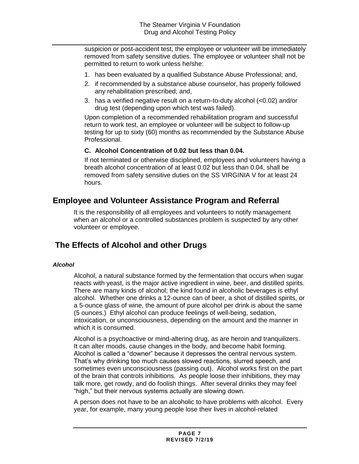suspicion or post-accident test, the employee or volunteer will be immediately removed from safety sensitive duties. The employee or volunteer shall not be permitted to return to work unless he/she:

- 1. has been evaluated by a qualified Substance Abuse Professional; and,
- 2. if recommended by a substance abuse counselor, has properly followed any rehabilitation prescribed; and,
- 3. has a verified negative result on a return-to-duty alcohol (<0.02) and/or drug test (depending upon which test was failed).

Upon completion of a recommended rehabilitation program and successful return to work test, an employee or volunteer will be subject to follow-up testing for up to sixty (60) months as recommended by the Substance Abuse Professional.

### **C. Alcohol Concentration of 0.02 but less than 0.04.**

If not terminated or otherwise disciplined, employees and volunteers having a breath alcohol concentration of at least 0.02 but less than 0.04, shall be removed from safety sensitive duties on the SS VIRGINIA V for at least 24 hours.

# **Employee and Volunteer Assistance Program and Referral**

It is the responsibility of all employees and volunteers to notify management when an alcohol or a controlled substances problem is suspected by any other volunteer or employee.

# **The Effects of Alcohol and other Drugs**

## *Alcohol*

Alcohol, a natural substance formed by the fermentation that occurs when sugar reacts with yeast, is the major active ingredient in wine, beer, and distilled spirits. There are many kinds of alcohol; the kind found in alcoholic beverages is ethyl alcohol. Whether one drinks a 12-ounce can of beer, a shot of distilled spirits, or a 5-ounce glass of wine, the amount of pure alcohol per drink is about the same (5 ounces.) Ethyl alcohol can produce feelings of well-being, sedation, intoxication, or unconsciousness, depending on the amount and the manner in which it is consumed.

Alcohol is a psychoactive or mind-altering drug, as are heroin and tranquilizers. It can alter moods, cause changes in the body, and become habit forming. Alcohol is called a "downer" because it depresses the central nervous system. That's why drinking too much causes slowed reactions, slurred speech, and sometimes even unconsciousness (passing out). Alcohol works first on the part of the brain that controls inhibitions. As people loose their inhibitions, they may talk more, get rowdy, and do foolish things. After several drinks they may feel "high," but their nervous systems actually are slowing down.

A person does not have to be an alcoholic to have problems with alcohol. Every year, for example, many young people lose their lives in alcohol-related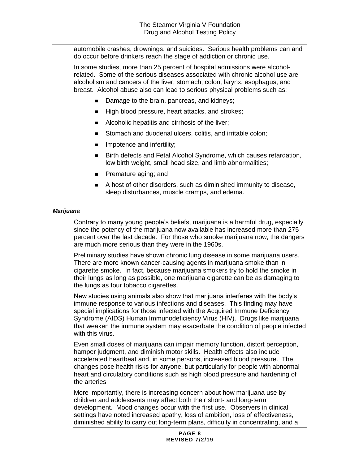automobile crashes, drownings, and suicides. Serious health problems can and do occur before drinkers reach the stage of addiction or chronic use.

In some studies, more than 25 percent of hospital admissions were alcoholrelated. Some of the serious diseases associated with chronic alcohol use are alcoholism and cancers of the liver, stomach, colon, larynx, esophagus, and breast. Alcohol abuse also can lead to serious physical problems such as:

- Damage to the brain, pancreas, and kidneys;
- High blood pressure, heart attacks, and strokes;
- Alcoholic hepatitis and cirrhosis of the liver;
- Stomach and duodenal ulcers, colitis, and irritable colon;
- Impotence and infertility;
- Birth defects and Fetal Alcohol Syndrome, which causes retardation, low birth weight, small head size, and limb abnormalities;
- Premature aging; and
- A host of other disorders, such as diminished immunity to disease, sleep disturbances, muscle cramps, and edema.

#### *Marijuana*

Contrary to many young people's beliefs, marijuana is a harmful drug, especially since the potency of the marijuana now available has increased more than 275 percent over the last decade. For those who smoke marijuana now, the dangers are much more serious than they were in the 1960s.

Preliminary studies have shown chronic lung disease in some marijuana users. There are more known cancer-causing agents in marijuana smoke than in cigarette smoke. In fact, because marijuana smokers try to hold the smoke in their lungs as long as possible, one marijuana cigarette can be as damaging to the lungs as four tobacco cigarettes.

New studies using animals also show that marijuana interferes with the body's immune response to various infections and diseases. This finding may have special implications for those infected with the Acquired Immune Deficiency Syndrome (AIDS) Human Immunodeficiency Virus (HIV). Drugs like marijuana that weaken the immune system may exacerbate the condition of people infected with this virus.

Even small doses of marijuana can impair memory function, distort perception, hamper judgment, and diminish motor skills. Health effects also include accelerated heartbeat and, in some persons, increased blood pressure. The changes pose health risks for anyone, but particularly for people with abnormal heart and circulatory conditions such as high blood pressure and hardening of the arteries

More importantly, there is increasing concern about how marijuana use by children and adolescents may affect both their short- and long-term development. Mood changes occur with the first use. Observers in clinical settings have noted increased apathy, loss of ambition, loss of effectiveness, diminished ability to carry out long-term plans, difficulty in concentrating, and a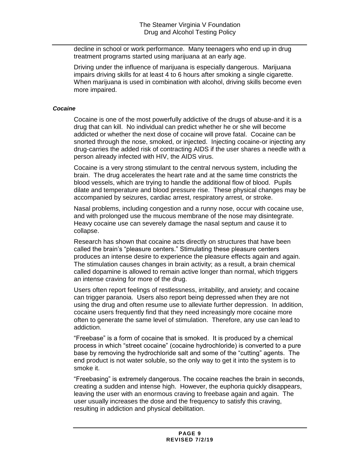decline in school or work performance. Many teenagers who end up in drug treatment programs started using marijuana at an early age.

Driving under the influence of marijuana is especially dangerous. Marijuana impairs driving skills for at least 4 to 6 hours after smoking a single cigarette. When marijuana is used in combination with alcohol, driving skills become even more impaired.

#### *Cocaine*

Cocaine is one of the most powerfully addictive of the drugs of abuse-and it is a drug that can kill. No individual can predict whether he or she will become addicted or whether the next dose of cocaine will prove fatal. Cocaine can be snorted through the nose, smoked, or injected. Injecting cocaine-or injecting any drug-carries the added risk of contracting AIDS if the user shares a needle with a person already infected with HIV, the AIDS virus.

Cocaine is a very strong stimulant to the central nervous system, including the brain. The drug accelerates the heart rate and at the same time constricts the blood vessels, which are trying to handle the additional flow of blood. Pupils dilate and temperature and blood pressure rise. These physical changes may be accompanied by seizures, cardiac arrest, respiratory arrest, or stroke.

Nasal problems, including congestion and a runny nose, occur with cocaine use, and with prolonged use the mucous membrane of the nose may disintegrate. Heavy cocaine use can severely damage the nasal septum and cause it to collapse.

Research has shown that cocaine acts directly on structures that have been called the brain's "pleasure centers." Stimulating these pleasure centers produces an intense desire to experience the pleasure effects again and again. The stimulation causes changes in brain activity; as a result, a brain chemical called dopamine is allowed to remain active longer than normal, which triggers an intense craving for more of the drug.

Users often report feelings of restlessness, irritability, and anxiety; and cocaine can trigger paranoia. Users also report being depressed when they are not using the drug and often resume use to alleviate further depression. In addition, cocaine users frequently find that they need increasingly more cocaine more often to generate the same level of stimulation. Therefore, any use can lead to addiction.

"Freebase" is a form of cocaine that is smoked. It is produced by a chemical process in which "street cocaine" (cocaine hydrochloride) is converted to a pure base by removing the hydrochloride salt and some of the "cutting" agents. The end product is not water soluble, so the only way to get it into the system is to smoke it.

"Freebasing" is extremely dangerous. The cocaine reaches the brain in seconds, creating a sudden and intense high. However, the euphoria quickly disappears, leaving the user with an enormous craving to freebase again and again. The user usually increases the dose and the frequency to satisfy this craving, resulting in addiction and physical debilitation.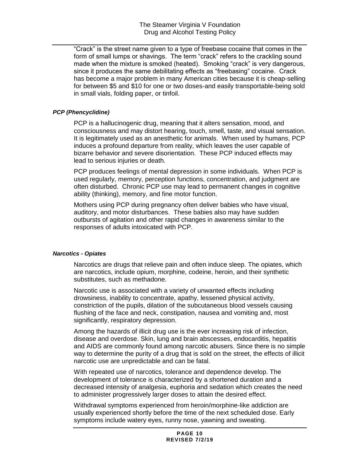"Crack" is the street name given to a type of freebase cocaine that comes in the form of small lumps or shavings. The term "crack" refers to the crackling sound made when the mixture is smoked (heated). Smoking "crack" is very dangerous, since it produces the same debilitating effects as "freebasing" cocaine. Crack has become a major problem in many American cities because it is cheap-selling for between \$5 and \$10 for one or two doses-and easily transportable-being sold in small vials, folding paper, or tinfoil.

#### *PCP (Phencyclidine)*

PCP is a hallucinogenic drug, meaning that it alters sensation, mood, and consciousness and may distort hearing, touch, smell, taste, and visual sensation. It is legitimately used as an anesthetic for animals. When used by humans, PCP induces a profound departure from reality, which leaves the user capable of bizarre behavior and severe disorientation. These PCP induced effects may lead to serious injuries or death.

PCP produces feelings of mental depression in some individuals. When PCP is used regularly, memory, perception functions, concentration, and judgment are often disturbed. Chronic PCP use may lead to permanent changes in cognitive ability (thinking), memory, and fine motor function.

Mothers using PCP during pregnancy often deliver babies who have visual, auditory, and motor disturbances. These babies also may have sudden outbursts of agitation and other rapid changes in awareness similar to the responses of adults intoxicated with PCP.

#### *Narcotics - Opiates*

Narcotics are drugs that relieve pain and often induce sleep. The opiates, which are narcotics, include opium, morphine, codeine, heroin, and their synthetic substitutes, such as methadone.

Narcotic use is associated with a variety of unwanted effects including drowsiness, inability to concentrate, apathy, lessened physical activity, constriction of the pupils, dilation of the subcutaneous blood vessels causing flushing of the face and neck, constipation, nausea and vomiting and, most significantly, respiratory depression.

Among the hazards of illicit drug use is the ever increasing risk of infection, disease and overdose. Skin, lung and brain abscesses, endocarditis, hepatitis and AIDS are commonly found among narcotic abusers. Since there is no simple way to determine the purity of a drug that is sold on the street, the effects of illicit narcotic use are unpredictable and can be fatal.

With repeated use of narcotics, tolerance and dependence develop. The development of tolerance is characterized by a shortened duration and a decreased intensity of analgesia, euphoria and sedation which creates the need to administer progressively larger doses to attain the desired effect.

Withdrawal symptoms experienced from heroin/morphine-like addiction are usually experienced shortly before the time of the next scheduled dose. Early symptoms include watery eyes, runny nose, yawning and sweating.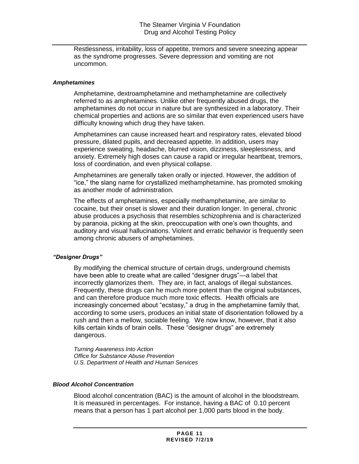Restlessness, irritability, loss of appetite, tremors and severe sneezing appear as the syndrome progresses. Severe depression and vomiting are not uncommon.

#### *Amphetamines*

Amphetamine, dextroamphetamine and methamphetamine are collectively referred to as amphetamines. Unlike other frequently abused drugs, the amphetamines do not occur in nature but are synthesized in a laboratory. Their chemical properties and actions are so similar that even experienced users have difficulty knowing which drug they have taken.

Amphetamines can cause increased heart and respiratory rates, elevated blood pressure, dilated pupils, and decreased appetite. In addition, users may experience sweating, headache, blurred vision, dizziness, sleeplessness, and anxiety. Extremely high doses can cause a rapid or irregular heartbeat, tremors, loss of coordination, and even physical collapse.

Amphetamines are generally taken orally or injected. However, the addition of "ice," the slang name for crystallized methamphetamine, has promoted smoking as another mode of administration.

The effects of amphetamines, especially methamphetamine, are similar to cocaine, but their onset is slower and their duration longer. In general, chronic abuse produces a psychosis that resembles schizophrenia and is characterized by paranoia, picking at the skin, preoccupation with one's own thoughts, and auditory and visual hallucinations. Violent and erratic behavior is frequently seen among chronic abusers of amphetamines.

#### *"Designer Drugs"*

By modifying the chemical structure of certain drugs, underground chemists have been able to create what are called "designer drugs"—a label that incorrectly glamorizes them. They are, in fact, analogs of illegal substances. Frequently, these drugs can he much more potent than the original substances, and can therefore produce much more toxic effects. Health officials are increasingly concerned about "ecstasy," a drug in the amphetamine family that, according to some users, produces an initial state of disorientation followed by a rush and then a mellow, sociable feeling. We now know, however, that it also kills certain kinds of brain cells. These "designer drugs" are extremely dangerous.

*Turning Awareness Into Action Office for Substance Abuse Prevention U.S. Department of Health and Human Services*

#### *Blood Alcohol Concentration*

Blood alcohol concentration (BAC) is the amount of alcohol in the bloodstream. It is measured in percentages. For instance, having a BAC of 0.10 percent means that a person has 1 part alcohol per 1,000 parts blood in the body.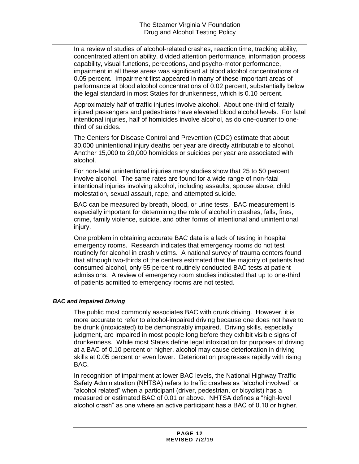In a review of studies of alcohol-related crashes, reaction time, tracking ability, concentrated attention ability, divided attention performance, information process capability, visual functions, perceptions, and psycho-motor performance, impairment in all these areas was significant at blood alcohol concentrations of 0.05 percent. Impairment first appeared in many of these important areas of performance at blood alcohol concentrations of 0.02 percent, substantially below the legal standard in most States for drunkenness, which is 0.10 percent.

Approximately half of traffic injuries involve alcohol. About one-third of fatally injured passengers and pedestrians have elevated blood alcohol levels. For fatal intentional injuries, half of homicides involve alcohol, as do one-quarter to onethird of suicides.

The Centers for Disease Control and Prevention (CDC) estimate that about 30,000 unintentional injury deaths per year are directly attributable to alcohol. Another 15,000 to 20,000 homicides or suicides per year are associated with alcohol.

For non-fatal unintentional injuries many studies show that 25 to 50 percent involve alcohol. The same rates are found for a wide range of non-fatal intentional injuries involving alcohol, including assaults, spouse abuse, child molestation, sexual assault, rape, and attempted suicide.

BAC can be measured by breath, blood, or urine tests. BAC measurement is especially important for determining the role of alcohol in crashes, falls, fires, crime, family violence, suicide, and other forms of intentional and unintentional injury.

One problem in obtaining accurate BAC data is a lack of testing in hospital emergency rooms. Research indicates that emergency rooms do not test routinely for alcohol in crash victims. A national survey of trauma centers found that although two-thirds of the centers estimated that the majority of patients had consumed alcohol, only 55 percent routinely conducted BAC tests at patient admissions. A review of emergency room studies indicated that up to one-third of patients admitted to emergency rooms are not tested.

#### *BAC and Impaired Driving*

The public most commonly associates BAC with drunk driving. However, it is more accurate to refer to alcohol-impaired driving because one does not have to be drunk (intoxicated) to be demonstrably impaired. Driving skills, especially judgment, are impaired in most people long before they exhibit visible signs of drunkenness. While most States define legal intoxication for purposes of driving at a BAC of 0.10 percent or higher, alcohol may cause deterioration in driving skills at 0.05 percent or even lower. Deterioration progresses rapidly with rising BAC.

In recognition of impairment at lower BAC levels, the National Highway Traffic Safety Administration (NHTSA) refers to traffic crashes as "alcohol involved" or "alcohol related" when a participant (driver, pedestrian, or bicyclist) has a measured or estimated BAC of 0.01 or above. NHTSA defines a "high-level alcohol crash" as one where an active participant has a BAC of 0.10 or higher.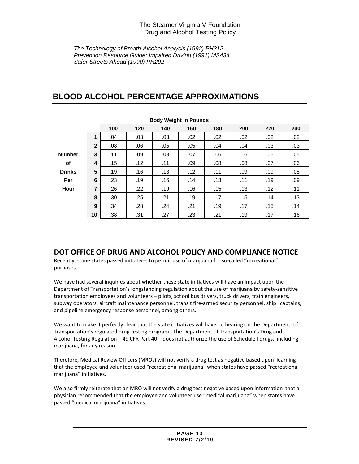*The Technology of Breath-Alcohol Analysis (1992) PH312 Prevention Resource Guide: Impaired Driving (1991) MS434 Safer Streets Ahead (1990) PH292*

# **BLOOD ALCOHOL PERCENTAGE APPROXIMATIONS**

| <b>Body Weight in Pounds</b> |                |     |     |     |     |     |     |     |     |
|------------------------------|----------------|-----|-----|-----|-----|-----|-----|-----|-----|
|                              |                | 100 | 120 | 140 | 160 | 180 | 200 | 220 | 240 |
|                              | 1              | .04 | .03 | .03 | .02 | .02 | .02 | .02 | .02 |
|                              | $\overline{2}$ | .08 | .06 | .05 | .05 | .04 | .04 | .03 | .03 |
| <b>Number</b>                | 3              | .11 | .09 | .08 | .07 | .06 | .06 | .05 | .05 |
| оf                           | 4              | .15 | .12 | .11 | .09 | .08 | .08 | .07 | .06 |
| <b>Drinks</b>                | 5              | .19 | .16 | .13 | .12 | .11 | .09 | .09 | .08 |
| Per                          | 6              | .23 | .19 | .16 | .14 | .13 | .11 | .19 | .09 |
| Hour                         | $\overline{7}$ | .26 | .22 | .19 | .16 | .15 | .13 | .12 | .11 |
|                              | 8              | .30 | .25 | .21 | .19 | .17 | .15 | .14 | .13 |
|                              | 9              | .34 | .28 | .24 | .21 | .19 | .17 | .15 | .14 |
|                              | 10             | .38 | .31 | .27 | .23 | .21 | .19 | .17 | .16 |

## **DOT OFFICE OF DRUG AND ALCOHOL POLICY AND COMPLIANCE NOTICE**

Recently, some states passed initiatives to permit use of marijuana for so-called "recreational" purposes.

We have had several inquiries about whether these state initiatives will have an impact upon the Department of Transportation's longstanding regulation about the use of marijuana by safety-sensitive transportation employees and volunteers – pilots, school bus drivers, truck drivers, train engineers, subway operators, aircraft maintenance personnel, transit fire-armed security personnel, ship captains, and pipeline emergency response personnel, among others.

We want to make it perfectly clear that the state initiatives will have no bearing on the Department of Transportation's regulated drug testing program. The Department of Transportation's Drug and Alcohol Testing Regulation – 49 CFR Part 40 – does not authorize the use of Schedule I drugs, including marijuana, for any reason.

Therefore, Medical Review Officers (MROs) will not verify a drug test as negative based upon learning that the employee and volunteer used "recreational marijuana" when states have passed "recreational marijuana" initiatives.

We also firmly reiterate that an MRO will not verify a drug test negative based upon information that a physician recommended that the employee and volunteer use "medical marijuana" when states have passed "medical marijuana" initiatives.